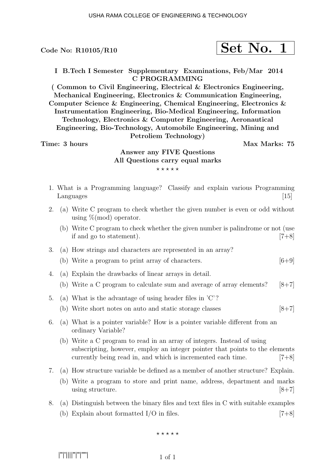|--|

I B.Tech I Semester Supplementary Examinations, Feb/Mar 2014 C PROGRAMMING

( Common to Civil Engineering, Electrical & Electronics Engineering, Mechanical Engineering, Electronics & Communication Engineering, Computer Science & Engineering, Chemical Engineering, Electronics & Instrumentation Engineering, Bio-Medical Engineering, Information Technology, Electronics & Computer Engineering, Aeronautical Engineering, Bio-Technology, Automobile Engineering, Mining and Petroliem Technology)

#### Time: 3 hours and the set of the Max Marks: 75

# Answer any FIVE Questions All Questions carry equal marks  $***$ \*\*

- 1. What is a Programming language? Classify and explain various Programming Languages [15]
- 2. (a) Write C program to check whether the given number is even or odd without using  $\%$ (mod) operator.
	- (b) Write C program to check whether the given number is palindrome or not (use if and go to statement).  $[7+8]$
- 3. (a) How strings and characters are represented in an array?
	- (b) Write a program to print array of characters.  $[6+9]$
- 4. (a) Explain the drawbacks of linear arrays in detail. (b) Write a C program to calculate sum and average of array elements?  $[8+7]$
- 5. (a) What is the advantage of using header files in 'C'?
	- (b) Write short notes on auto and static storage classes  $[8+7]$
- 6. (a) What is a pointer variable? How is a pointer variable different from an ordinary Variable?
	- (b) Write a C program to read in an array of integers. Instead of using subscripting, however, employ an integer pointer that points to the elements currently being read in, and which is incremented each time. [7+8]
- 7. (a) How structure variable be defined as a member of another structure? Explain.
	- (b) Write a program to store and print name, address, department and marks using structure.  $8+7$
- 8. (a) Distinguish between the binary files and text files in C with suitable examples (b) Explain about formatted  $I/O$  in files. [7+8]

 $***$ \*\*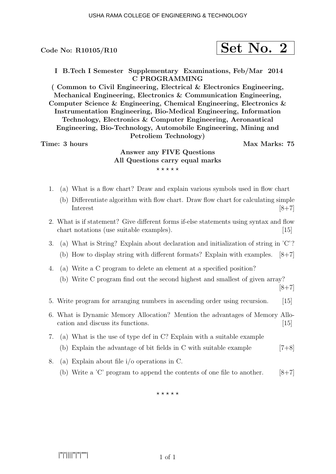$$
\fbox{Set No. 2}
$$

I B.Tech I Semester Supplementary Examinations, Feb/Mar 2014 C PROGRAMMING

( Common to Civil Engineering, Electrical & Electronics Engineering, Mechanical Engineering, Electronics & Communication Engineering, Computer Science & Engineering, Chemical Engineering, Electronics & Instrumentation Engineering, Bio-Medical Engineering, Information Technology, Electronics & Computer Engineering, Aeronautical Engineering, Bio-Technology, Automobile Engineering, Mining and Petroliem Technology)

Time: 3 hours and the set of the Max Marks: 75

# Answer any FIVE Questions All Questions carry equal marks  $***$ \*\*

- 1. (a) What is a flow chart? Draw and explain various symbols used in flow chart
	- (b) Differentiate algorithm with flow chart. Draw flow chart for calculating simple  $Interest$  [8+7]
- 2. What is if statement? Give different forms if-else statements using syntax and flow chart notations (use suitable examples). [15]
- 3. (a) What is String? Explain about declaration and initialization of string in 'C'?
	- (b) How to display string with different formats? Explain with examples. [8+7]
- 4. (a) Write a C program to delete an element at a specified position?
	- (b) Write C program find out the second highest and smallest of given array?

 $[8+7]$ 

- 5. Write program for arranging numbers in ascending order using recursion. [15]
- 6. What is Dynamic Memory Allocation? Mention the advantages of Memory Allocation and discuss its functions. [15]
- 7. (a) What is the use of type def in C? Explain with a suitable example
	- (b) Explain the advantage of bit fields in C with suitable example  $[7+8]$
- 8. (a) Explain about file i/o operations in C.
	- (b) Write a 'C' program to append the contents of one file to another.  $[8+7]$

 $***$ \*\*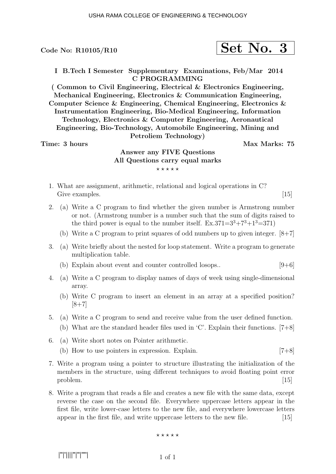I B.Tech I Semester Supplementary Examinations, Feb/Mar 2014 C PROGRAMMING

( Common to Civil Engineering, Electrical & Electronics Engineering, Mechanical Engineering, Electronics & Communication Engineering, Computer Science & Engineering, Chemical Engineering, Electronics & Instrumentation Engineering, Bio-Medical Engineering, Information Technology, Electronics & Computer Engineering, Aeronautical Engineering, Bio-Technology, Automobile Engineering, Mining and Petroliem Technology)

#### Time: 3 hours and the set of the Max Marks: 75

## Answer any FIVE Questions All Questions carry equal marks  $***$ \*\*

- 1. What are assignment, arithmetic, relational and logical operations in C? Give examples. [15] [15]
- 2. (a) Write a C program to find whether the given number is Armstrong number or not. (Armstrong number is a number such that the sum of digits raised to the third power is equal to the number itself.  $Ex.371=3^3+7^3+1^3=371$ 
	- (b) Write a C program to print squares of odd numbers up to given integer.  $[8+7]$
- 3. (a) Write briefly about the nested for loop statement. Write a program to generate multiplication table.
	- (b) Explain about event and counter controlled losops..  $[9+6]$
- 4. (a) Write a C program to display names of days of week using single-dimensional array.
	- (b) Write C program to insert an element in an array at a specified position?  $[8+7]$
- 5. (a) Write a C program to send and receive value from the user defined function.
	- (b) What are the standard header files used in 'C'. Explain their functions. [7+8]
- 6. (a) Write short notes on Pointer arithmetic.
	- (b) How to use pointers in expression. Explain. [7+8]
- 7. Write a program using a pointer to structure illustrating the initialization of the members in the structure, using different techniques to avoid floating point error  $\text{problem.} \tag{15}$
- 8. Write a program that reads a file and creates a new file with the same data, except reverse the case on the second file. Everywhere uppercase letters appear in the first file, write lower-case letters to the new file, and everywhere lowercase letters appear in the first file, and write uppercase letters to the new file. [15]

#### $***$  \* \* \* \*

|''|'||||''|''|''''|